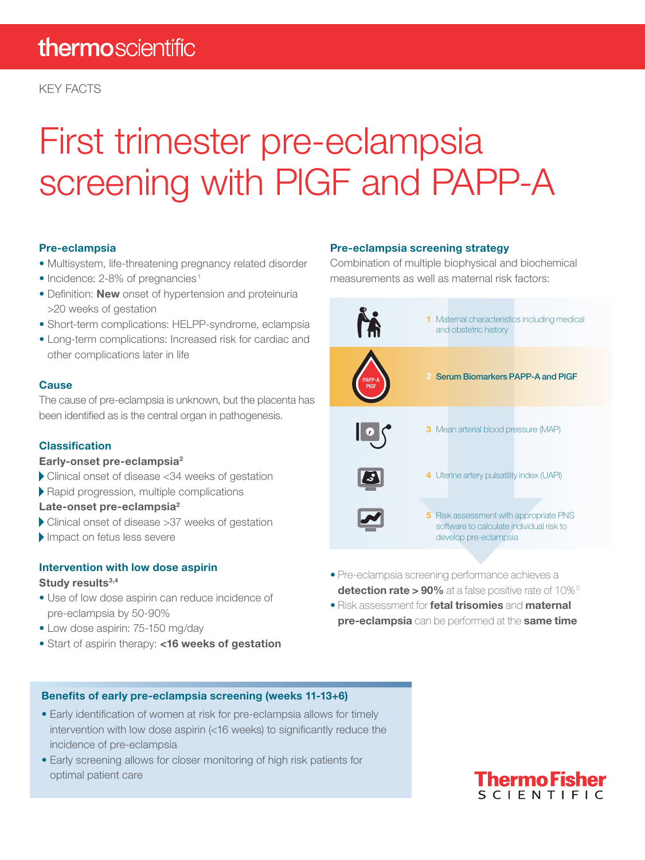# First trimester pre-eclampsia screening with PlGF and PAPP-A

### Pre-eclampsia

- Multisystem, life-threatening pregnancy related disorder
- Incidence: 2-8% of pregnancies<sup>1</sup>
- Definition: **New** onset of hypertension and proteinuria >20 weeks of gestation
- Short-term complications: HELPP-syndrome, eclampsia
- Long-term complications: Increased risk for cardiac and other complications later in life

### **Cause**

The cause of pre-eclampsia is unknown, but the placenta has been identifed as is the central organ in pathogenesis.

### **Classification**

### Early-onset pre-eclampsia2

- Clinical onset of disease <34 weeks of gestation
- Rapid progression, multiple complications

### Late-onset pre-eclampsia<sup>2</sup>

- Clinical onset of disease >37 weeks of gestation
- Impact on fetus less severe

### Intervention with low dose aspirin

### Study results<sup>3,4</sup>

- Use of low dose aspirin can reduce incidence of pre-eclampsia by 50-90%
- Low dose aspirin: 75-150 mg/day
- Start of aspirin therapy: <16 weeks of gestation

### Pre-eclampsia screening strategy

Combination of multiple biophysical and biochemical measurements as well as maternal risk factors:



- Pre-eclampsia screening performance achieves a detection rate > 90% at a false positive rate of 10%<sup>5</sup>
- Risk assessment for **fetal trisomies** and **maternal** pre-eclampsia can be performed at the same time

### Benefits of early pre-eclampsia screening (weeks 11-13+6)

- Early identifcation of women at risk for pre-eclampsia allows for timely intervention with low dose aspirin (<16 weeks) to significantly reduce the incidence of pre-eclampsia
- Early screening allows for closer monitoring of high risk patients for optimal patient care